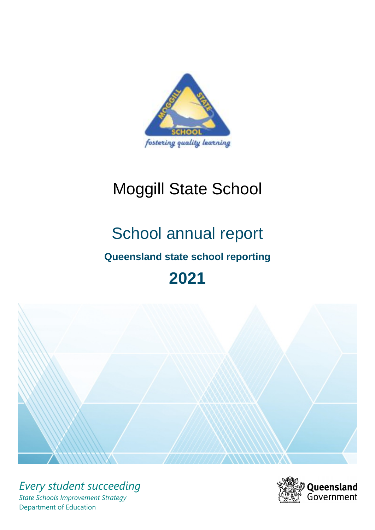

# Moggill State School

# School annual report

# **Queensland state school reporting**

# **2021**



*Every student succeeding State Schools Improvement Strategy* Department of Education

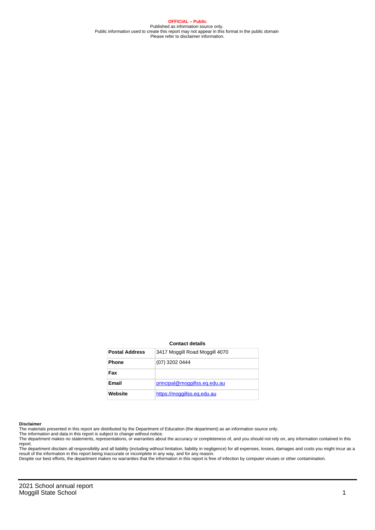**OFFICIAL – Public** Published as information source only. Public information used to create this report may not appear in this format in the public domain Please refer to disclaimer information.

#### **Contact details**

| <b>Postal Address</b> | 3417 Moggill Road Moggill 4070 |
|-----------------------|--------------------------------|
| <b>Phone</b>          | (07) 3202 0444                 |
| Fax                   |                                |
| Email                 | principal@moggillss.eq.edu.au  |
| Website               | https://moggillss.eg.edu.au    |

#### **Disclaimer**

The materials presented in this report are distributed by the Department of Education (the department) as an information source only.

The information and data in this report is subject to change without notice.<br>The department makes no statements, representations, or warranties about the accuracy or completeness of, and you should not rely on, any informa report. The department disclaim all responsibility and all liability (including without limitation, liability in negligence) for all expenses, losses, damages and costs you might incur as a

result of the information in this report being inaccurate or incomplete in any way, and for any reason. Despite our best efforts, the department makes no warranties that the information in this report is free of infection by computer viruses or other contamination.

2021 School annual report Moggill State School 1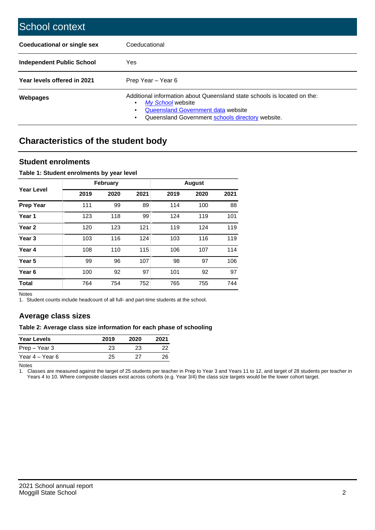| School context                   |                                                                                                                                                                                              |
|----------------------------------|----------------------------------------------------------------------------------------------------------------------------------------------------------------------------------------------|
| Coeducational or single sex      | Coeducational                                                                                                                                                                                |
| <b>Independent Public School</b> | Yes                                                                                                                                                                                          |
| Year levels offered in 2021      | Prep Year - Year 6                                                                                                                                                                           |
| Webpages                         | Additional information about Queensland state schools is located on the:<br>My School website<br>Queensland Government data website<br>Queensland Government schools directory website.<br>٠ |

# **Characteristics of the student body**

### **Student enrolments**

#### **Table 1: Student enrolments by year level**

|                   |      | <b>February</b> |      |      | <b>August</b> |      |
|-------------------|------|-----------------|------|------|---------------|------|
| Year Level        | 2019 | 2020            | 2021 | 2019 | 2020          | 2021 |
| <b>Prep Year</b>  | 111  | 99              | 89   | 114  | 100           | 88   |
| Year <sub>1</sub> | 123  | 118             | 99   | 124  | 119           | 101  |
| Year 2            | 120  | 123             | 121  | 119  | 124           | 119  |
| Year <sub>3</sub> | 103  | 116             | 124  | 103  | 116           | 119  |
| Year 4            | 108  | 110             | 115  | 106  | 107           | 114  |
| Year 5            | 99   | 96              | 107  | 98   | 97            | 106  |
| Year <sub>6</sub> | 100  | 92              | 97   | 101  | 92            | 97   |
| <b>Total</b>      | 764  | 754             | 752  | 765  | 755           | 744  |

Notes

1. Student counts include headcount of all full- and part-time students at the school.

## **Average class sizes**

#### **Table 2: Average class size information for each phase of schooling**

| <b>Year Levels</b> | 2019 | 2020 | 2021 |
|--------------------|------|------|------|
| Prep – Year 3      | 23   | 23   | 22   |
| Year 4 – Year 6    | 25   | 27   | 26   |

Notes

1. Classes are measured against the target of 25 students per teacher in Prep to Year 3 and Years 11 to 12, and target of 28 students per teacher in Years 4 to 10. Where composite classes exist across cohorts (e.g. Year 3/4) the class size targets would be the lower cohort target.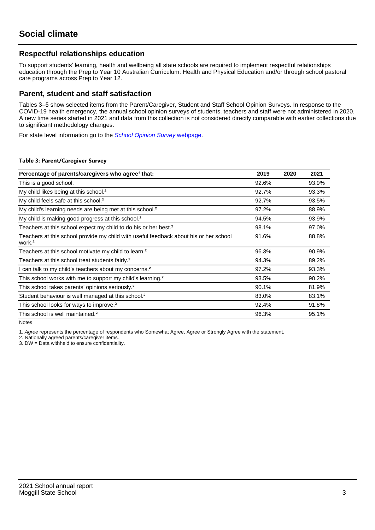## **Respectful relationships education**

To support students' learning, health and wellbeing all state schools are required to implement respectful relationships education through the Prep to Year 10 Australian Curriculum: Health and Physical Education and/or through school pastoral care programs across Prep to Year 12.

### **Parent, student and staff satisfaction**

Tables 3–5 show selected items from the Parent/Caregiver, Student and Staff School Opinion Surveys. In response to the COVID-19 health emergency, the annual school opinion surveys of students, teachers and staff were not administered in 2020. A new time series started in 2021 and data from this collection is not considered directly comparable with earlier collections due to significant methodology changes.

For state level information go to the **[School Opinion Survey](https://qed.qld.gov.au/publications/reports/statistics/schooling/schools/schoolopinionsurvey) webpage**.

#### **Table 3: Parent/Caregiver Survey**

| Percentage of parents/caregivers who agree <sup>1</sup> that:                                               | 2019  | 2020 | 2021  |
|-------------------------------------------------------------------------------------------------------------|-------|------|-------|
| This is a good school.                                                                                      | 92.6% |      | 93.9% |
| My child likes being at this school. <sup>2</sup>                                                           | 92.7% |      | 93.3% |
| My child feels safe at this school. <sup>2</sup>                                                            | 92.7% |      | 93.5% |
| My child's learning needs are being met at this school. <sup>2</sup>                                        | 97.2% |      | 88.9% |
| My child is making good progress at this school. <sup>2</sup>                                               | 94.5% |      | 93.9% |
| Teachers at this school expect my child to do his or her best. <sup>2</sup>                                 | 98.1% |      | 97.0% |
| Teachers at this school provide my child with useful feedback about his or her school<br>work. <sup>2</sup> | 91.6% |      | 88.8% |
| Teachers at this school motivate my child to learn. <sup>2</sup>                                            | 96.3% |      | 90.9% |
| Teachers at this school treat students fairly. <sup>2</sup>                                                 | 94.3% |      | 89.2% |
| can talk to my child's teachers about my concerns. <sup>2</sup>                                             | 97.2% |      | 93.3% |
| This school works with me to support my child's learning. <sup>2</sup>                                      | 93.5% |      | 90.2% |
| This school takes parents' opinions seriously. <sup>2</sup>                                                 | 90.1% |      | 81.9% |
| Student behaviour is well managed at this school. <sup>2</sup>                                              | 83.0% |      | 83.1% |
| This school looks for ways to improve. <sup>2</sup>                                                         | 92.4% |      | 91.8% |
| This school is well maintained. <sup>2</sup>                                                                | 96.3% |      | 95.1% |

Notes

1. Agree represents the percentage of respondents who Somewhat Agree, Agree or Strongly Agree with the statement.

2. Nationally agreed parents/caregiver items.

3. DW = Data withheld to ensure confidentiality.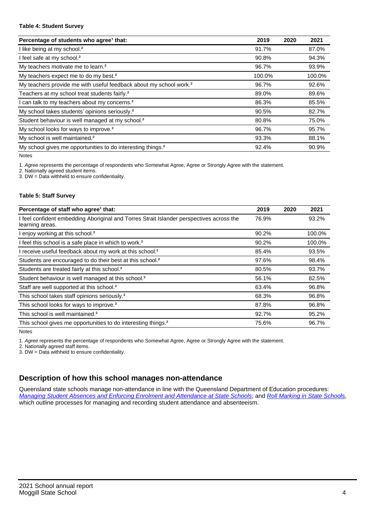#### **Table 4: Student Survey**

| Percentage of students who agree <sup>1</sup> that:                            | 2019   | 2020 | 2021   |
|--------------------------------------------------------------------------------|--------|------|--------|
| I like being at my school. <sup>2</sup>                                        | 91.7%  |      | 87.0%  |
| I feel safe at my school. <sup>2</sup>                                         | 90.8%  |      | 94.3%  |
| My teachers motivate me to learn. <sup>2</sup>                                 | 96.7%  |      | 93.9%  |
| My teachers expect me to do my best. <sup>2</sup>                              | 100.0% |      | 100.0% |
| My teachers provide me with useful feedback about my school work. <sup>2</sup> | 96.7%  |      | 92.6%  |
| Teachers at my school treat students fairly. <sup>2</sup>                      | 89.0%  |      | 89.6%  |
| I can talk to my teachers about my concerns. <sup>2</sup>                      | 86.3%  |      | 85.5%  |
| My school takes students' opinions seriously. <sup>2</sup>                     | 90.5%  |      | 82.7%  |
| Student behaviour is well managed at my school. <sup>2</sup>                   | 80.8%  |      | 75.0%  |
| My school looks for ways to improve. <sup>2</sup>                              | 96.7%  |      | 95.7%  |
| My school is well maintained. <sup>2</sup>                                     | 93.3%  |      | 88.1%  |
| My school gives me opportunities to do interesting things. <sup>2</sup>        | 92.4%  |      | 90.9%  |

Notes

1. Agree represents the percentage of respondents who Somewhat Agree, Agree or Strongly Agree with the statement.

2. Nationally agreed student items.

3. DW = Data withheld to ensure confidentiality.

#### **Table 5: Staff Survey**

| Percentage of staff who agree <sup>1</sup> that:                                                            | 2019  | 2020 | 2021   |
|-------------------------------------------------------------------------------------------------------------|-------|------|--------|
| I feel confident embedding Aboriginal and Torres Strait Islander perspectives across the<br>learning areas. | 76.9% |      | 93.2%  |
| I enjoy working at this school. <sup>2</sup>                                                                | 90.2% |      | 100.0% |
| I feel this school is a safe place in which to work. <sup>2</sup>                                           | 90.2% |      | 100.0% |
| I receive useful feedback about my work at this school. <sup>2</sup>                                        | 85.4% |      | 93.5%  |
| Students are encouraged to do their best at this school. <sup>2</sup>                                       | 97.6% |      | 98.4%  |
| Students are treated fairly at this school. <sup>2</sup>                                                    | 80.5% |      | 93.7%  |
| Student behaviour is well managed at this school. <sup>2</sup>                                              | 56.1% |      | 82.5%  |
| Staff are well supported at this school. <sup>2</sup>                                                       | 63.4% |      | 96.8%  |
| This school takes staff opinions seriously. <sup>2</sup>                                                    | 68.3% |      | 96.8%  |
| This school looks for ways to improve. <sup>2</sup>                                                         | 87.8% |      | 96.8%  |
| This school is well maintained. <sup>2</sup>                                                                | 92.7% |      | 95.2%  |
| This school gives me opportunities to do interesting things. <sup>2</sup>                                   | 75.6% |      | 96.7%  |

Notes

1. Agree represents the percentage of respondents who Somewhat Agree, Agree or Strongly Agree with the statement.

2. Nationally agreed staff items.

3. DW = Data withheld to ensure confidentiality.

## **Description of how this school manages non-attendance**

Queensland state schools manage non-attendance in line with the Queensland Department of Education procedures: [Managing Student Absences and Enforcing Enrolment and Attendance at State Schools](https://ppr.qed.qld.gov.au/pp/managing-student-absences-and-enforcing-enrolment-and-attendance-at-state-schools-procedure); and [Roll Marking in State Schools,](https://ppr.qed.qld.gov.au/pp/roll-marking-in-state-schools-procedure) which outline processes for managing and recording student attendance and absenteeism.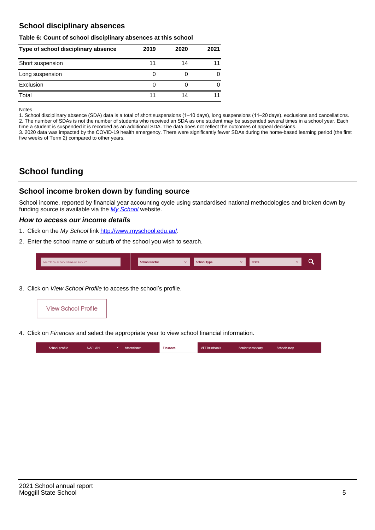## **School disciplinary absences**

#### **Table 6: Count of school disciplinary absences at this school**

| Type of school disciplinary absence | 2019 | 2020 | 2021 |
|-------------------------------------|------|------|------|
| Short suspension                    | 11   | 14   |      |
| Long suspension                     | O    |      |      |
| Exclusion                           | 0    |      | 0    |
| Total                               |      | 14   |      |

Notes

1. School disciplinary absence (SDA) data is a total of short suspensions (1–10 days), long suspensions (11–20 days), exclusions and cancellations. 2. The number of SDAs is not the number of students who received an SDA as one student may be suspended several times in a school year. Each time a student is suspended it is recorded as an additional SDA. The data does not reflect the outcomes of appeal decisions.

3. 2020 data was impacted by the COVID-19 health emergency. There were significantly fewer SDAs during the home-based learning period (the first five weeks of Term 2) compared to other years.

# **School funding**

## **School income broken down by funding source**

School income, reported by financial year accounting cycle using standardised national methodologies and broken down by funding source is available via the [My School](http://www.myschool.edu.au/) website.

#### **How to access our income details**

- 1. Click on the My School link <http://www.myschool.edu.au/>.
- 2. Enter the school name or suburb of the school you wish to search.

|  | Search by school name or suburb |  | <b>School sector</b> |  | $\sim$ and $\sim$ represents the set of $\sim$ | <b>State</b> |  |  |  |
|--|---------------------------------|--|----------------------|--|------------------------------------------------|--------------|--|--|--|
|--|---------------------------------|--|----------------------|--|------------------------------------------------|--------------|--|--|--|

3. Click on View School Profile to access the school's profile.



4. Click on Finances and select the appropriate year to view school financial information.

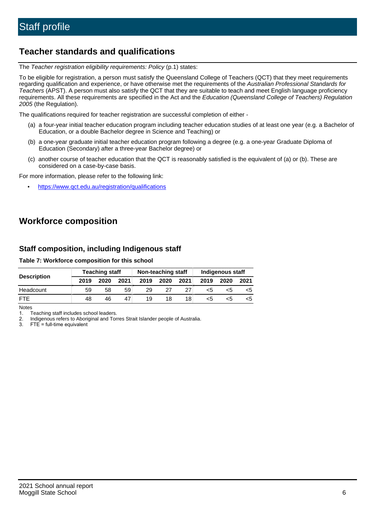## **Teacher standards and qualifications**

The Teacher registration eligibility requirements: Policy (p.1) states:

To be eligible for registration, a person must satisfy the Queensland College of Teachers (QCT) that they meet requirements regarding qualification and experience, or have otherwise met the requirements of the Australian Professional Standards for Teachers (APST). A person must also satisfy the QCT that they are suitable to teach and meet English language proficiency requirements. All these requirements are specified in the Act and the Education (Queensland College of Teachers) Regulation 2005 (the Regulation).

The qualifications required for teacher registration are successful completion of either -

- (a) a four-year initial teacher education program including teacher education studies of at least one year (e.g. a Bachelor of Education, or a double Bachelor degree in Science and Teaching) or
- (b) a one-year graduate initial teacher education program following a degree (e.g. a one-year Graduate Diploma of Education (Secondary) after a three-year Bachelor degree) or
- (c) another course of teacher education that the QCT is reasonably satisfied is the equivalent of (a) or (b). These are considered on a case-by-case basis.

For more information, please refer to the following link:

• <https://www.qct.edu.au/registration/qualifications>

# **Workforce composition**

## **Staff composition, including Indigenous staff**

#### **Table 7: Workforce composition for this school**

|                    |      | <b>Teaching staff</b> |      | Non-teaching staff |      |      | Indigenous staff |      |      |
|--------------------|------|-----------------------|------|--------------------|------|------|------------------|------|------|
| <b>Description</b> | 2019 | 2020                  | 2021 | 2019               | 2020 | 2021 | 2019             | 2020 | 2021 |
| Headcount          | 59   | 58                    | 59   | 29                 | 27   |      | <5               | <5   |      |
| <b>FTF</b>         | 48   | 46                    | 47   | 19                 | 18   | 18⊥  | <5               | ה>   |      |

Notes

1. Teaching staff includes school leaders.

2. Indigenous refers to Aboriginal and Torres Strait Islander people of Australia.

3. FTE = full-time equivalent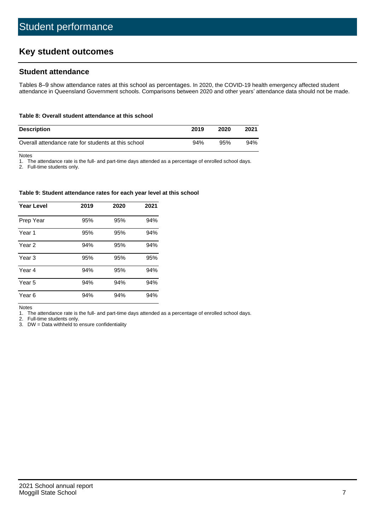# **Key student outcomes**

## **Student attendance**

Tables 8–9 show attendance rates at this school as percentages. In 2020, the COVID-19 health emergency affected student attendance in Queensland Government schools. Comparisons between 2020 and other years' attendance data should not be made.

#### **Table 8: Overall student attendance at this school**

| <b>Description</b>                                  | 2019 | 2020 | 2021 |
|-----------------------------------------------------|------|------|------|
| Overall attendance rate for students at this school | 94%  | 95%  | 94%  |

Notes

1. The attendance rate is the full- and part-time days attended as a percentage of enrolled school days.

2. Full-time students only.

#### **Table 9: Student attendance rates for each year level at this school**

| <b>Year Level</b> | 2019 | 2020 | 2021 |
|-------------------|------|------|------|
| Prep Year         | 95%  | 95%  | 94%  |
| Year 1            | 95%  | 95%  | 94%  |
| Year 2            | 94%  | 95%  | 94%  |
| Year 3            | 95%  | 95%  | 95%  |
| Year 4            | 94%  | 95%  | 94%  |
| Year 5            | 94%  | 94%  | 94%  |
| Year <sub>6</sub> | 94%  | 94%  | 94%  |

Notes

1. The attendance rate is the full- and part-time days attended as a percentage of enrolled school days.

2. Full-time students only.

3. DW = Data withheld to ensure confidentiality